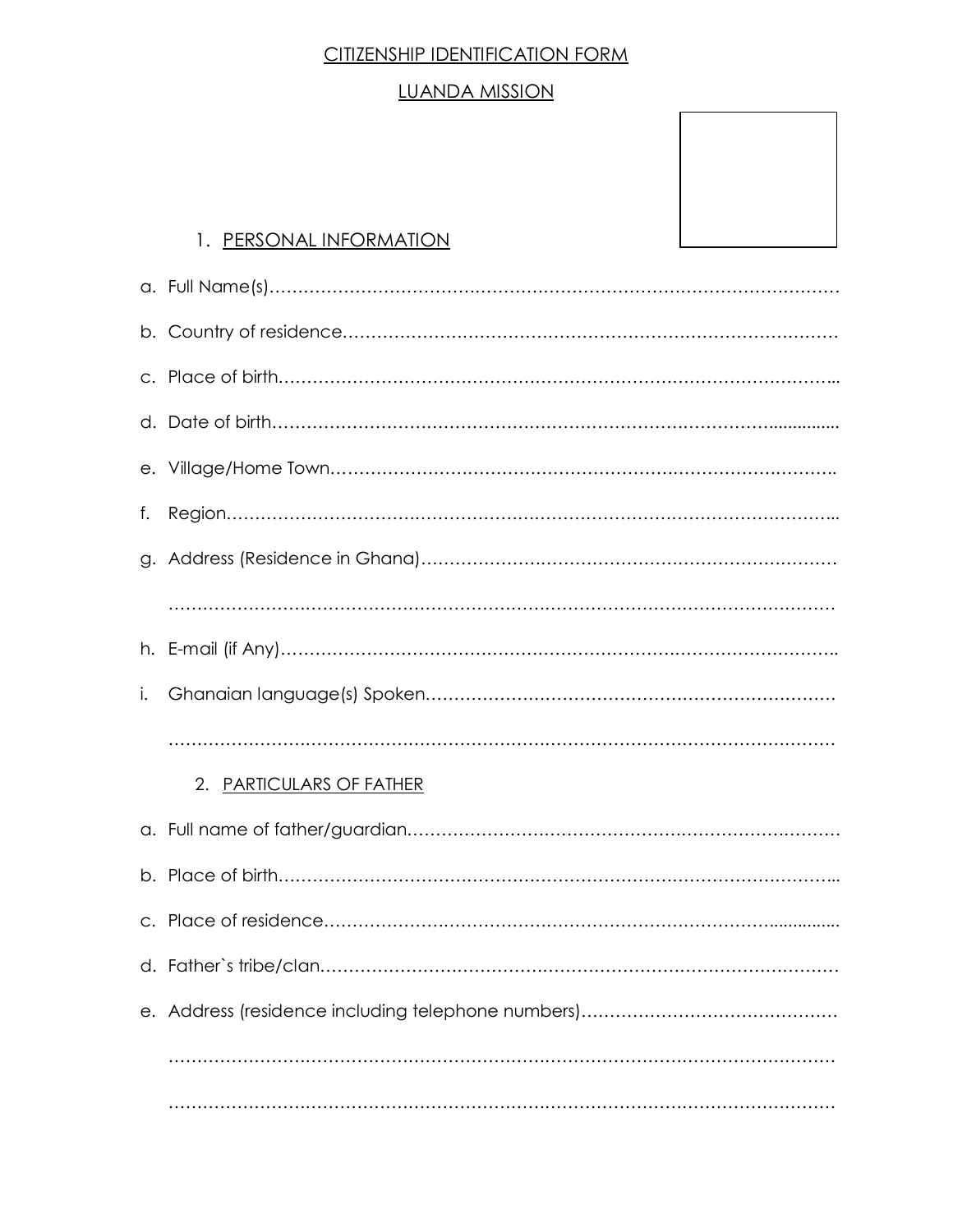# CITIZENSHIP IDENTIFICATION FORM

#### LUANDA MISSION

### 1. PERSONAL INFORMATION

| f. |                          |
|----|--------------------------|
|    |                          |
|    |                          |
|    |                          |
| i. |                          |
|    |                          |
|    | 2. PARTICULARS OF FATHER |
|    |                          |
|    |                          |
|    |                          |
|    |                          |
|    |                          |
|    |                          |
|    |                          |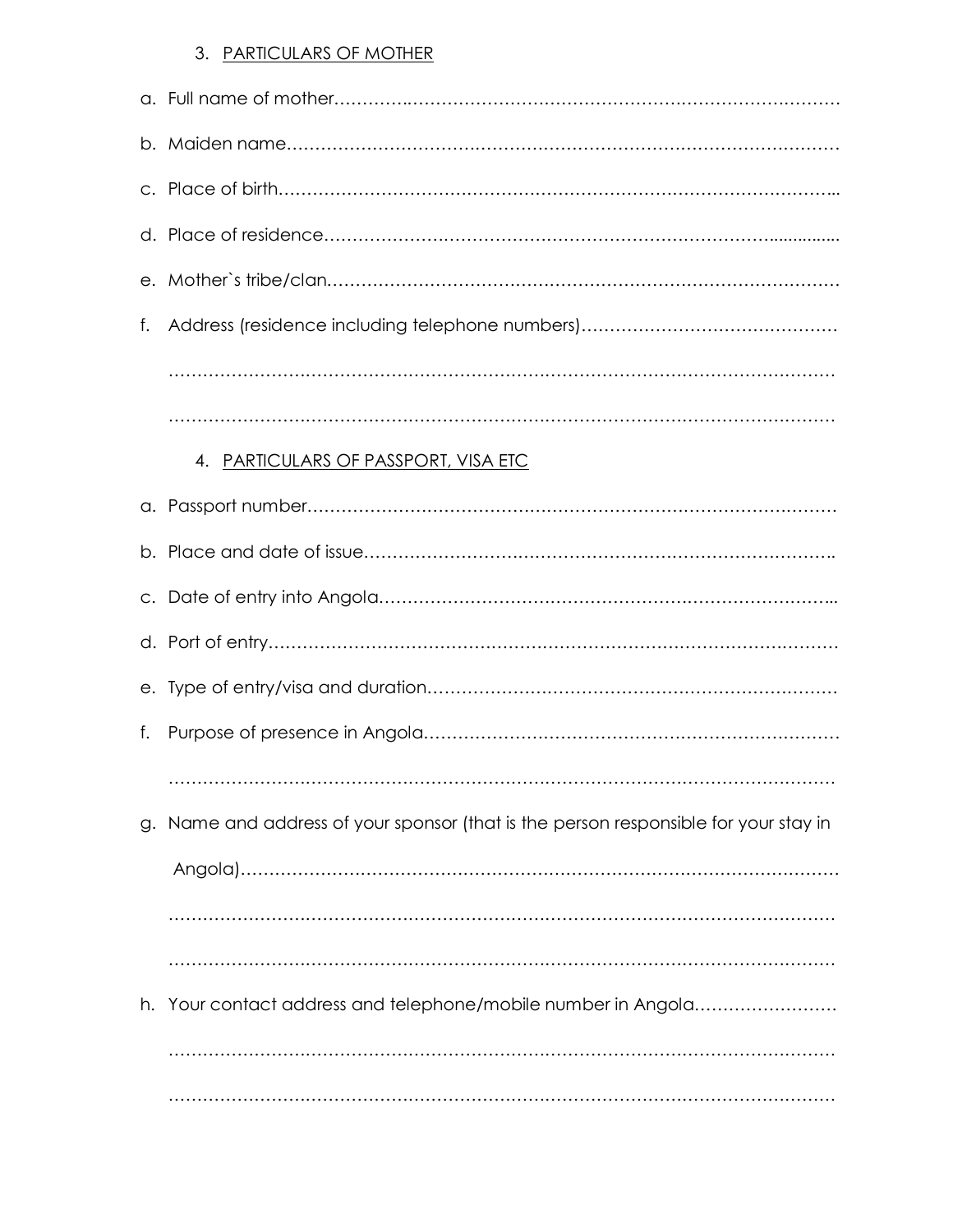#### 3. PARTICULARS OF MOTHER

| f. |                                                                                   |
|----|-----------------------------------------------------------------------------------|
|    |                                                                                   |
|    |                                                                                   |
|    | 4. PARTICULARS OF PASSPORT, VISA ETC                                              |
|    |                                                                                   |
|    |                                                                                   |
|    |                                                                                   |
|    |                                                                                   |
|    |                                                                                   |
| f. |                                                                                   |
|    |                                                                                   |
| g. | Name and address of your sponsor (that is the person responsible for your stay in |
|    |                                                                                   |
|    |                                                                                   |
|    |                                                                                   |
| h. | Your contact address and telephone/mobile number in Angola                        |
|    |                                                                                   |
|    |                                                                                   |